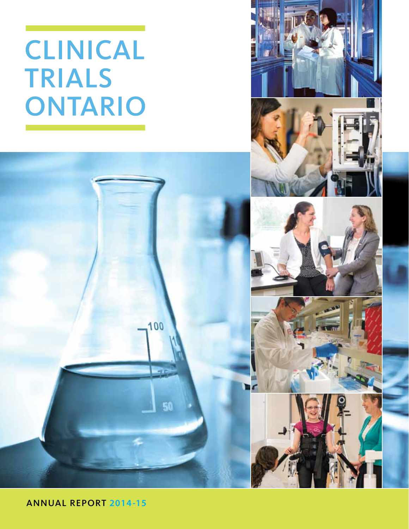# CLINICAL **TRIALS** ONTARIO



ANNUAL REPORT **2014 -15**

100

50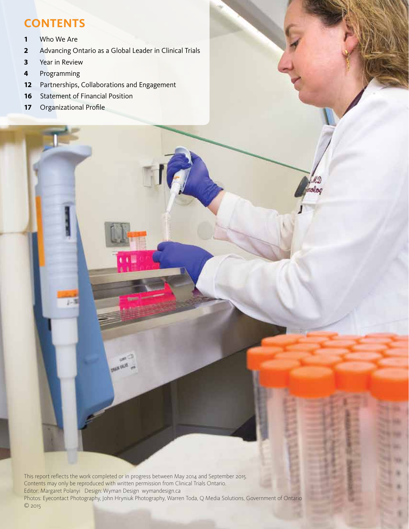# **CONTENTS**

- **1** Who We Are
- **2** Advancing Ontario as a Global Leader in Clinical Trials
- **3** Year in Review
- **4** Programming
- **12** Partnerships, Collaborations and Engagement
- **16** Statement of Financial Position
- **17** Organizational Profile

This report reflects the work completed or in progress between May 2014 and September 2015. Contents may only be reproduced with written permission from Clinical Trials Ontario. Editor: Margaret Polanyi Design: Wyman Design wymandesign.ca Photos: Eyecontact Photography, John Hryniuk Photography, Warren Toda, Q Media Solutions, Government of Ontario © 2015

**PLAN WARE** 

tolog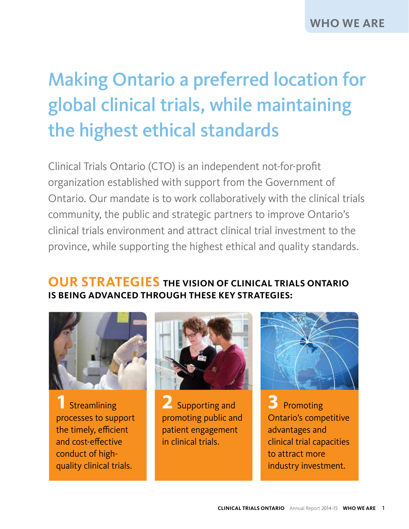# Making Ontario a preferred location for global clinical trials, while maintaining the highest ethical standards

Clinical Trials Ontario (CTO) is an independent not-for-profit organization established with support from the Government of Ontario. Our mandate is to work collaboratively with the clinical trials community, the public and strategic partners to improve Ontario's clinical trials environment and attract clinical trial investment to the province, while supporting the highest ethical and quality standards.

# **OUR STRATEGIES THE VISION OF CLINICAL TRIALS ONTARIO IS BEING ADVANCED THROUGH THESE KEY STRATEGIES:**



**1**Streamlining processes to support the timely, efficient and cost-effective conduct of highquality clinical trials.



**2** Supporting and promoting public and patient engagement in clinical trials.



**3** Promoting Ontario's competitive advantages and clinical trial capacities to attract more industry investment.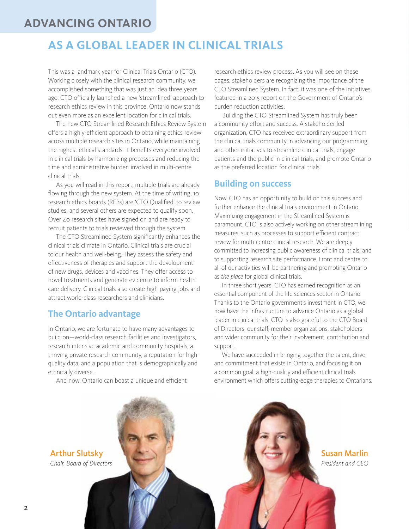### **ADVANCING ONTARIO**

# **AS A GLOBAL LEADER IN CLINICAL TRIALS**

This was a landmark year for Clinical Trials Ontario (CTO). Working closely with the clinical research community, we accomplished something that was just an idea three years ago. CTO officially launched a new 'streamlined' approach to research ethics review in this province. Ontario now stands out even more as an excellent location for clinical trials.

 The new CTO Streamlined Research Ethics Review System offers a highly-efficient approach to obtaining ethics review across multiple research sites in Ontario, while maintaining the highest ethical standards. It benefits everyone involved in clinical trials by harmonizing processes and reducing the time and administrative burden involved in multi-centre clinical trials.

 As you will read in this report, multiple trials are already flowing through the new system. At the time of writing, 10 research ethics boards (REBs) are 'CTO Qualified' to review studies, and several others are expected to qualify soon. Over 40 research sites have signed on and are ready to recruit patients to trials reviewed through the system.

 The CTO Streamlined System significantly enhances the clinical trials climate in Ontario. Clinical trials are crucial to our health and well-being. They assess the safety and effectiveness of therapies and support the development of new drugs, devices and vaccines. They offer access to novel treatments and generate evidence to inform health care delivery. Clinical trials also create high-paying jobs and attract world-class researchers and clinicians.

#### **The Ontario advantage**

In Ontario, we are fortunate to have many advantages to build on—world-class research facilities and investigators, research-intensive academic and community hospitals, a thriving private research community, a reputation for highquality data, and a population that is demographically and ethnically diverse.

And now, Ontario can boast a unique and efficient

research ethics review process. As you will see on these pages, stakeholders are recognizing the importance of the CTO Streamlined System. In fact, it was one of the initiatives featured in a 2015 report on the Government of Ontario's burden reduction activities.

 Building the CTO Streamlined System has truly been a community effort and success. A stakeholder-led organization, CTO has received extraordinary support from the clinical trials community in advancing our programming and other initiatives to streamline clinical trials, engage patients and the public in clinical trials, and promote Ontario as the preferred location for clinical trials.

#### **Building on success**

Now, CTO has an opportunity to build on this success and further enhance the clinical trials environment in Ontario. Maximizing engagement in the Streamlined System is paramount. CTO is also actively working on other streamlining measures, such as processes to support efficient contract review for multi-centre clinical research. We are deeply committed to increasing public awareness of clinical trials, and to supporting research site performance. Front and centre to all of our activities will be partnering and promoting Ontario as *the place* for global clinical trials.

 In three short years, CTO has earned recognition as an essential component of the life sciences sector in Ontario. Thanks to the Ontario government's investment in CTO, we now have the infrastructure to advance Ontario as a global leader in clinical trials. CTO is also grateful to the CTO Board of Directors, our staff, member organizations, stakeholders and wider community for their involvement, contribution and support.

 We have succeeded in bringing together the talent, drive and commitment that exists in Ontario, and focusing it on a common goal: a high-quality and efficient clinical trials environment which offers cutting-edge therapies to Ontarians.

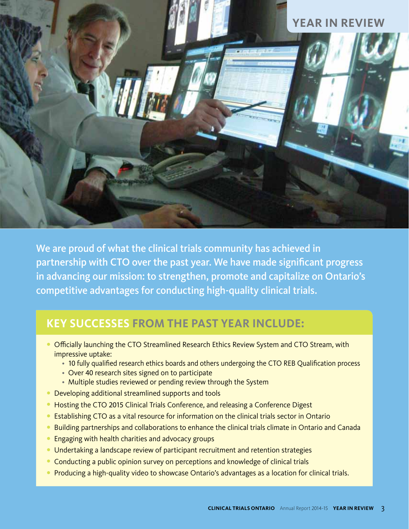

We are proud of what the clinical trials community has achieved in partnership with CTO over the past year. We have made significant progress in advancing our mission: to strengthen, promote and capitalize on Ontario's competitive advantages for conducting high-quality clinical trials.

# **KEY SUCCESSES FROM THE PAST YEAR INCLUDE: KEY SUCCESSES FROM THE PAST YEAR INCLUDE:**

- Officially launching the CTO Streamlined Research Ethics Review System and CTO Stream, with impressive uptake:
	- 10 fully qualified research ethics boards and others undergoing the CTO REB Qualification process
	- Over 40 research sites signed on to participate
	- Multiple studies reviewed or pending review through the System
- Developing additional streamlined supports and tools
- Hosting the CTO 2015 Clinical Trials Conference, and releasing a Conference Digest
- Establishing CTO as a vital resource for information on the clinical trials sector in Ontario
- Building partnerships and collaborations to enhance the clinical trials climate in Ontario and Canada
- Engaging with health charities and advocacy groups
- Undertaking a landscape review of participant recruitment and retention strategies
- Conducting a public opinion survey on perceptions and knowledge of clinical trials
- Producing a high-quality video to showcase Ontario's advantages as a location for clinical trials.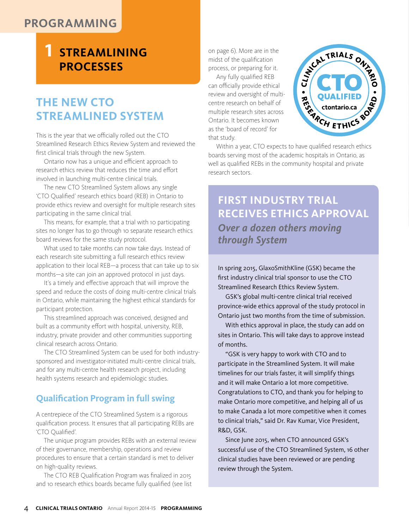### **PROGRAMMING**

# **1 STREAMLINING PROCESSES**

# **THE NEW CTO STREAMLINED SYSTEM**

This is the year that we officially rolled out the CTO Streamlined Research Ethics Review System and reviewed the first clinical trials through the new System.

 Ontario now has a unique and efficient approach to research ethics review that reduces the time and effort involved in launching multi-centre clinical trials.

 The new CTO Streamlined System allows any single 'CTO Qualified' research ethics board (REB) in Ontario to provide ethics review and oversight for multiple research sites participating in the same clinical trial.

This means, for example, that a trial with 10 participating sites no longer has to go through 10 separate research ethics board reviews for the same study protocol.

 What used to take months can now take days. Instead of each research site submitting a full research ethics review application to their local REB—a process that can take up to six months—a site can join an approved protocol in just days.

 It's a timely and effective approach that will improve the speed and reduce the costs of doing multi-centre clinical trials in Ontario, while maintaining the highest ethical standards for participant protection.

 This streamlined approach was conceived, designed and built as a community effort with hospital, university, REB, industry, private provider and other communities supporting clinical research across Ontario.

 The CTO Streamlined System can be used for both industrysponsored and investigator-initiated multi-centre clinical trials, and for any multi-centre health research project, including health systems research and epidemiologic studies.

#### **Qualification Program in full swing**

A centrepiece of the CTO Streamlined System is a rigorous qualification process. It ensures that all participating REBs are 'CTO Qualified'.

 The unique program provides REBs with an external review of their governance, membership, operations and review procedures to ensure that a certain standard is met to deliver on high-quality reviews.

 The CTO REB Qualification Program was finalized in 2015 and 10 research ethics boards became fully qualified (see list on page 6). More are in the midst of the qualification process, or preparing for it.

 Any fully qualified REB can officially provide ethical review and oversight of multicentre research on behalf of multiple research sites across Ontario. It becomes known as the 'board of record' for that study.



 Within a year, CTO expects to have qualified research ethics boards serving most of the academic hospitals in Ontario, as well as qualified REBs in the community hospital and private research sectors.

#### **FIRST INDUSTRY TRIAL RECEIVES ETHICS APPROVAL** RECEIVED APPROVALENT COMPANY *Over a dozen others moving through System through System* **FIRST INDUSTRY TRIAL**  *Over a dozen others moving*

In spring 2015, GlaxoSmithKline (GSK) became the first industry clinical trial sponsor to use the CTO Streamlined Research Ethics Review System.

 GSK's global multi-centre clinical trial received province-wide ethics approval of the study protocol in Ontario just two months from the time of submission.

 With ethics approval in place, the study can add on sites in Ontario. This will take days to approve instead of months.

 "GSK is very happy to work with CTO and to participate in the Streamlined System. It will make timelines for our trials faster, it will simplify things and it will make Ontario a lot more competitive. Congratulations to CTO, and thank you for helping to make Ontario more competitive, and helping all of us to make Canada a lot more competitive when it comes to clinical trials," said Dr. Rav Kumar, Vice President, R&D, GSK.

 Since June 2015, when CTO announced GSK's successful use of the CTO Streamlined System, 16 other clinical studies have been reviewed or are pending review through the System.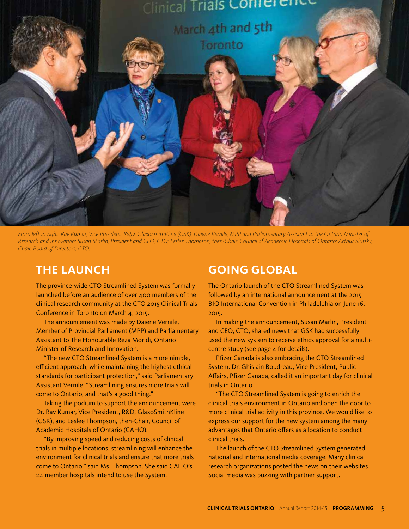

*From left to right: Rav Kumar, Vice President, R&D, GlaxoSmithKline (GSK); Daiene Vernile, MPP and Parliamentary Assistant to the Ontario Minister of Research and Innovation; Susan Marlin, President and CEO, CTO; Leslee Thompson, then-Chair, Council of Academic Hospitals of Ontario; Arthur Slutsky, Chair, Board of Directors, CTO.*

### **THE LAUNCH**

The province-wide CTO Streamlined System was formally launched before an audience of over 400 members of the clinical research community at the CTO 2015 Clinical Trials Conference in Toronto on March 4, 2015.

 The announcement was made by Daiene Vernile, Member of Provincial Parliament (MPP) and Parliamentary Assistant to The Honourable Reza Moridi, Ontario Minister of Research and Innovation.

 "The new CTO Streamlined System is a more nimble, efficient approach, while maintaining the highest ethical standards for participant protection," said Parliamentary Assistant Vernile. "Streamlining ensures more trials will come to Ontario, and that's a good thing."

 Taking the podium to support the announcement were Dr. Rav Kumar, Vice President, R&D, GlaxoSmithKline (GSK), and Leslee Thompson, then-Chair, Council of Academic Hospitals of Ontario (CAHO).

 "By improving speed and reducing costs of clinical trials in multiple locations, streamlining will enhance the environment for clinical trials and ensure that more trials come to Ontario," said Ms. Thompson. She said CAHO's 24 member hospitals intend to use the System.

### **GOING GLOBAL**

The Ontario launch of the CTO Streamlined System was followed by an international announcement at the 2015 BIO International Convention in Philadelphia on June 16, 2015.

 In making the announcement, Susan Marlin, President and CEO, CTO, shared news that GSK had successfully used the new system to receive ethics approval for a multicentre study (see page 4 for details).

 Pfizer Canada is also embracing the CTO Streamlined System. Dr. Ghislain Boudreau, Vice President, Public Affairs, Pfizer Canada, called it an important day for clinical trials in Ontario.

 "The CTO Streamlined System is going to enrich the clinical trials environment in Ontario and open the door to more clinical trial activity in this province. We would like to express our support for the new system among the many advantages that Ontario offers as a location to conduct clinical trials."

 The launch of the CTO Streamlined System generated national and international media coverage. Many clinical research organizations posted the news on their websites. Social media was buzzing with partner support.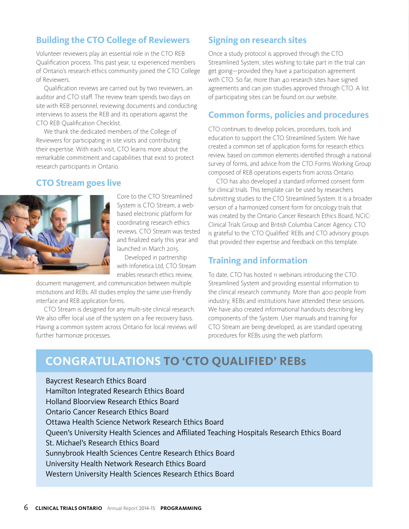#### **Building the CTO College of Reviewers**

Volunteer reviewers play an essential role in the CTO REB Qualification process. This past year, 12 experienced members of Ontario's research ethics community joined the CTO College of Reviewers.

 Qualification reviews are carried out by two reviewers, an auditor and CTO staff. The review team spends two days on site with REB personnel, reviewing documents and conducting interviews to assess the REB and its operations against the CTO REB Qualification Checklist.

 We thank the dedicated members of the College of Reviewers for participating in site visits and contributing their expertise. With each visit, CTO learns more about the remarkable commitment and capabilities that exist to protect research participants in Ontario.

#### **CTO Stream goes live**



Core to the CTO Streamlined System is CTO Stream, a webbased electronic platform for coordinating research ethics reviews. CTO Stream was tested and finalized early this year and launched in March 2015.

 Developed in partnership with Infonetica Ltd, CTO Stream enables research ethics review,

document management, and communication between multiple institutions and REBs. All studies employ the same user-friendly interface and REB application forms.

 CTO Stream is designed for any multi-site clinical research. We also offer local use of the system on a fee recovery basis. Having a common system across Ontario for local reviews will further harmonize processes.

#### **Signing on research sites**

Once a study protocol is approved through the CTO Streamlined System, sites wishing to take part in the trial can get going—provided they have a participation agreement with CTO. So far, more than 40 research sites have signed agreements and can join studies approved through CTO. A list of participating sites can be found on our website.

#### **Common forms, policies and procedures**

CTO continues to develop policies, procedures, tools and education to support the CTO Streamlined System. We have created a common set of application forms for research ethics review, based on common elements identified through a national survey of forms, and advice from the CTO Forms Working Group composed of REB operations experts from across Ontario.

 CTO has also developed a standard informed consent form for clinical trials. This template can be used by researchers submitting studies to the CTO Streamlined System. It is a broader version of a harmonized consent form for oncology trials that was created by the Ontario Cancer Research Ethics Board, NCIC-Clinical Trials Group and British Columbia Cancer Agency. CTO is grateful to the 'CTO Qualified' REBs and CTO advisory groups that provided their expertise and feedback on this template.

#### **Training and information**

To date, CTO has hosted 11 webinars introducing the CTO Streamlined System and providing essential information to the clinical research community. More than 400 people from industry, REBs and institutions have attended these sessions. We have also created informational handouts describing key components of the System. User manuals and training for CTO Stream are being developed, as are standard operating procedures for REBs using the web platform.

# **CONGRATULATIONS TO CTO QUALIFIED REBS CONGRATULATIONS TO 'CTO QUALIFIED' REBs**

Baycrest Research Ethics Board Hamilton Integrated Research Ethics Board Holland Bloorview Research Ethics Board Ontario Cancer Research Ethics Board Ottawa Health Science Network Research Ethics Board Queen's University Health Sciences and Affiliated Teaching Hospitals Research Ethics Board St. Michael's Research Ethics Board Sunnybrook Health Sciences Centre Research Ethics Board University Health Network Research Ethics Board Western University Health Sciences Research Ethics Board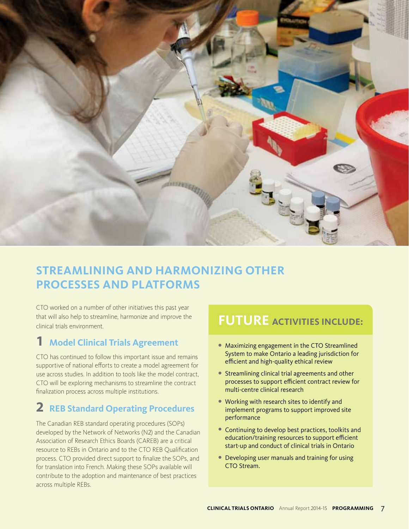

# **STREAMLINING AND HARMONIZING OTHER PROCESSES AND PLATFORMS**

CTO worked on a number of other initiatives this past year that will also help to streamline, harmonize and improve the clinical trials environment.

### **1 Model Clinical Trials Agreement**

CTO has continued to follow this important issue and remains supportive of national efforts to create a model agreement for use across studies. In addition to tools like the model contract, CTO will be exploring mechanisms to streamline the contract finalization process across multiple institutions.

### **2 REB Standard Operating Procedures**

The Canadian REB standard operating procedures (SOPs) developed by the Network of Networks (N2) and the Canadian Association of Research Ethics Boards (CAREB) are a critical resource to REBs in Ontario and to the CTO REB Qualification process. CTO provided direct support to finalize the SOPs, and for translation into French. Making these SOPs available will contribute to the adoption and maintenance of best practices across multiple REBs. 

### **FUTURE ACTIVITIES INCLUDE: FUTURE ACTIVITIES INCLUDE:**

- Maximizing engagement in the CTO Streamlined System to make Ontario a leading jurisdiction for efficient and high-quality ethical review
- Streamlining clinical trial agreements and other processes to support efficient contract review for multi-centre clinical research
- Working with research sites to identify and implement programs to support improved site performance
- Continuing to develop best practices, toolkits and education/training resources to support efficient start-up and conduct of clinical trials in Ontario
- Developing user manuals and training for using CTO Stream.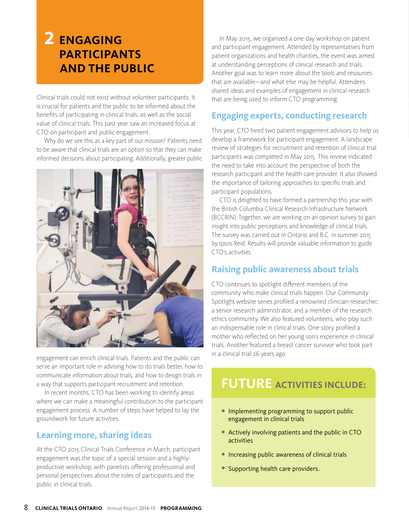# **2 ENGAGING PARTICIPANTS AND THE PUBLIC**

Clinical trials could not exist without volunteer participants. It is crucial for patients and the public to be informed about the benefits of participating in clinical trials, as well as the social value of clinical trials. This past year saw an increased focus at CTO on participant and public engagement.

 Why do we see this as a key part of our mission? Patients need to be aware that clinical trials are an option so that they can make informed decisions about participating. Additionally, greater public



engagement can enrich clinical trials. Patients and the public can serve an important role in advising how to do trials better, how to communicate information about trials, and how to design trials in a way that supports participant recruitment and retention.

 In recent months, CTO has been working to identify areas where we can make a meaningful contribution to the participant engagement process. A number of steps have helped to lay the groundwork for future activities.

#### **Learning more, sharing ideas**

At the CTO 2015 Clinical Trials Conference in March, participant engagement was the topic of a special session and a highlyproductive workshop, with panelists offering professional and personal perspectives about the roles of participants and the public in clinical trials.

 In May 2015, we organized a one-day workshop on patient and participant engagement. Attended by representatives from patient organizations and health charities, the event was aimed at understanding perceptions of clinical research and trials. Another goal was to learn more about the tools and resources that are available—and what else may be helpful. Attendees shared ideas and examples of engagement in clinical research that are being used to inform CTO programming.

#### **Engaging experts, conducting research**

This year, CTO hired two patient engagement advisors to help us develop a framework for participant engagement. A landscape review of strategies for recruitment and retention of clinical trial participants was completed in May 2015. This review indicated the need to take into account the perspective of both the research participant and the health care provider. It also showed the importance of tailoring approaches to specific trials and participant populations.

 CTO is delighted to have formed a partnership this year with the British Columbia Clinical Research Infrastructure Network (BCCRIN). Together, we are working on an opinion survey to gain insight into public perceptions and knowledge of clinical trials. The survey was carried out in Ontario and B.C. in summer 2015 by Ipsos Reid. Results will provide valuable information to guide CTO's activities.

#### **Raising public awareness about trials**

CTO continues to spotlight different members of the community who make clinical trials happen. Our Community Spotlight website series profiled a renowned clinician-researcher, a senior research administrator, and a member of the research ethics community. We also featured volunteers, who play such an indispensable role in clinical trials. One story profiled a mother who reflected on her young son's experience in clinical trials. Another featured a breast cancer survivor who took part in a clinical trial 26 years ago.

### **FUTURE ACTIVITIES INCLUDE: FUTURE ACTIVITIES INCLUDE:**

- Implementing programming to support public engagement in clinical trials
- Actively involving patients and the public in CTO activities
- Increasing public awareness of clinical trials
- Supporting health care providers.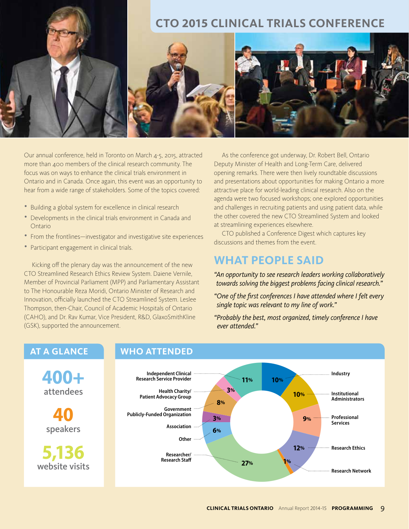

Our annual conference, held in Toronto on March 4-5, 2015, attracted more than 400 members of the clinical research community. The focus was on ways to enhance the clinical trials environment in Ontario and in Canada. Once again, this event was an opportunity to hear from a wide range of stakeholders. Some of the topics covered:

- Building a global system for excellence in clinical research
- Developments in the clinical trials environment in Canada and Ontario
- From the frontlines—investigator and investigative site experiences
- Participant engagement in clinical trials.

 Kicking off the plenary day was the announcement of the new CTO Streamlined Research Ethics Review System. Daiene Vernile, Member of Provincial Parliament (MPP) and Parliamentary Assistant to The Honourable Reza Moridi, Ontario Minister of Research and Innovation, officially launched the CTO Streamlined System. Leslee Thompson, then-Chair, Council of Academic Hospitals of Ontario (CAHO), and Dr. Rav Kumar, Vice President, R&D, GlaxoSmithKline (GSK), supported the announcement.

 As the conference got underway, Dr. Robert Bell, Ontario Deputy Minister of Health and Long-Term Care, delivered opening remarks. There were then lively roundtable discussions and presentations about opportunities for making Ontario a more attractive place for world-leading clinical research. Also on the agenda were two focused workshops; one explored opportunities and challenges in recruiting patients and using patient data, while the other covered the new CTO Streamlined System and looked at streamlining experiences elsewhere.

 CTO published a Conference Digest which captures key discussions and themes from the event.

### **WHAT PEOPLE SAID**

*"An opportunity to see research leaders working collaboratively towards solving the biggest problems facing clinical research."* 

- *"One of the first conferences I have attended where I felt every single topic was relevant to my line of work."*
- *"Probably the best, most organized, timely conference I have ever attended."*

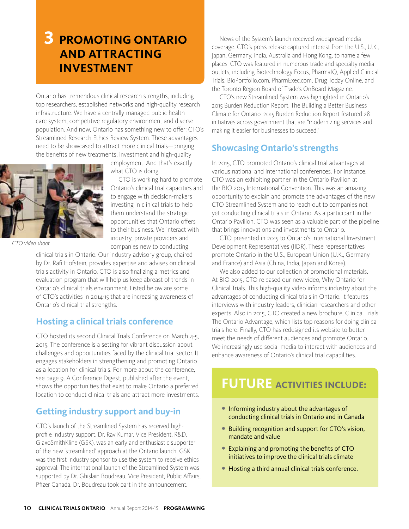# **3 PROMOTING ONTARIO AND ATTRACTING INVESTMENT**

Ontario has tremendous clinical research strengths, including top researchers, established networks and high-quality research infrastructure. We have a centrally-managed public health care system, competitive regulatory environment and diverse population. And now, Ontario has something new to offer: CTO's Streamlined Research Ethics Review System. These advantages need to be showcased to attract more clinical trials—bringing the benefits of new treatments, investment and high-quality



*CTO video shoot*

employment. And that's exactly what CTO is doing.

 CTO is working hard to promote Ontario's clinical trial capacities and to engage with decision-makers investing in clinical trials to help them understand the strategic opportunities that Ontario offers to their business. We interact with industry, private providers and companies new to conducting

clinical trials in Ontario. Our industry advisory group, chaired by Dr. Rafi Hofstein, provides expertise and advises on clinical trials activity in Ontario. CTO is also finalizing a metrics and evaluation program that will help us keep abreast of trends in Ontario's clinical trials environment. Listed below are some of CTO's activities in 2014-15 that are increasing awareness of Ontario's clinical trial strengths.

#### **Hosting a clinical trials conference**

CTO hosted its second Clinical Trials Conference on March 4-5, 2015. The conference is a setting for vibrant discussion about challenges and opportunities faced by the clinical trial sector. It engages stakeholders in strengthening and promoting Ontario as a location for clinical trials. For more about the conference, see page 9. A Conference Digest, published after the event, shows the opportunities that exist to make Ontario a preferred location to conduct clinical trials and attract more investments.

#### **Getting industry support and buy-in**

CTO's launch of the Streamlined System has received highprofile industry support. Dr. Rav Kumar, Vice President, R&D, GlaxoSmithKline (GSK), was an early and enthusiastic supporter of the new 'streamlined' approach at the Ontario launch. GSK was the first industry sponsor to use the system to receive ethics approval. The international launch of the Streamlined System was supported by Dr. Ghislain Boudreau, Vice President, Public Affairs, Pfizer Canada. Dr. Boudreau took part in the announcement.

 News of the System's launch received widespread media coverage. CTO's press release captured interest from the U.S., U.K., Japan, Germany, India, Australia and Hong Kong, to name a few places. CTO was featured in numerous trade and specialty media outlets, including Biotechnology Focus, PharmaIQ, Applied Clinical Trials, BioPortfolio.com, PharmExec.com, Drug Today Online, and the Toronto Region Board of Trade's OnBoard Magazine.

 CTO's new Streamlined System was highlighted in Ontario's 2015 Burden Reduction Report. The Building a Better Business Climate for Ontario: 2015 Burden Reduction Report featured 28 initiatives across government that are "modernizing services and making it easier for businesses to succeed."

### **Showcasing Ontario's strengths**

In 2015, CTO promoted Ontario's clinical trial advantages at various national and international conferences. For instance, CTO was an exhibiting partner in the Ontario Pavilion at the BIO 2015 International Convention. This was an amazing opportunity to explain and promote the advantages of the new CTO Streamlined System and to reach out to companies not yet conducting clinical trials in Ontario. As a participant in the Ontario Pavilion, CTO was seen as a valuable part of the pipeline that brings innovations and investments to Ontario.

 CTO presented in 2015 to Ontario's International Investment Development Representatives (IIDR). These representatives promote Ontario in the U.S., European Union (U.K., Germany and France) and Asia (China, India, Japan and Korea).

 We also added to our collection of promotional materials. At BIO 2015, CTO released our new video, Why Ontario for Clinical Trials. This high-quality video informs industry about the advantages of conducting clinical trials in Ontario. It features interviews with industry leaders, clinician-researchers and other experts. Also in 2015, CTO created a new brochure, Clinical Trials: The Ontario Advantage, which lists top reasons for doing clinical trials here. Finally, CTO has redesigned its website to better meet the needs of different audiences and promote Ontario. We increasingly use social media to interact with audiences and enhance awareness of Ontario's clinical trial capabilities.

#### **FUTURE ACTIVITIES INCLUDE: FUTURE ACTIVITIES INCLUDE:**

- Informing industry about the advantages of conducting clinical trials in Ontario and in Canada
- Building recognition and support for CTO's vision, mandate and value
- Explaining and promoting the benefits of CTO initiatives to improve the clinical trials climate
- Hosting a third annual clinical trials conference.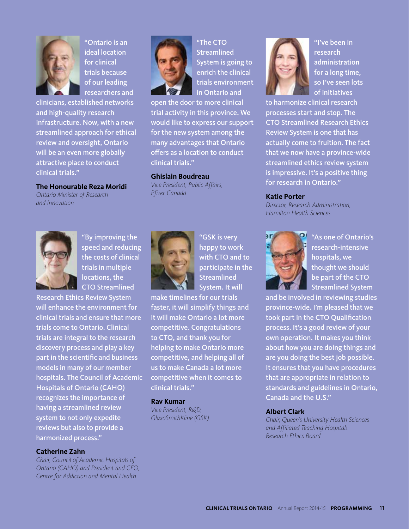

"Ontario is an ideal location for clinical trials because of our leading researchers and

clinicians, established networks and high-quality research infrastructure. Now, with a new streamlined approach for ethical review and oversight, Ontario will be an even more globally attractive place to conduct clinical trials."

#### **The Honourable Reza Moridi**

*Ontario Minister of Research and Innovation* 



"The CTO Streamlined System is going to enrich the clinical trials environment in Ontario and

open the door to more clinical trial activity in this province. We would like to express our support for the new system among the many advantages that Ontario offers as a location to conduct clinical trials."

#### **Ghislain Boudreau**

*Vice President, Public Affairs, Pfizer Canada*



"By improving the speed and reducing the costs of clinical trials in multiple locations, the CTO Streamlined

Research Ethics Review System will enhance the environment for clinical trials and ensure that more trials come to Ontario. Clinical trials are integral to the research discovery process and play a key part in the scientific and business models in many of our member hospitals. The Council of Academic Hospitals of Ontario (CAHO) recognizes the importance of having a streamlined review system to not only expedite reviews but also to provide a harmonized process."

#### **Catherine Zahn**

*Chair, Council of Academic Hospitals of Ontario (CAHO) and President and CEO, Centre for Addiction and Mental Health* 



"GSK is very happy to work with CTO and to participate in the **Streamlined** System. It will

make timelines for our trials faster, it will simplify things and it will make Ontario a lot more competitive. Congratulations to CTO, and thank you for helping to make Ontario more competitive, and helping all of us to make Canada a lot more competitive when it comes to clinical trials."

#### **Rav Kumar**

*Vice President, R&D, GlaxoSmithKline (GSK)* 



"I've been in research administration for a long time, so I've seen lots of initiatives

to harmonize clinical research processes start and stop. The CTO Streamlined Research Ethics Review System is one that has actually come to fruition. The fact that we now have a province-wide streamlined ethics review system is impressive. It's a positive thing for research in Ontario."

#### **Katie Porter**

*Director, Research Administration, Hamilton Health Sciences* 



"As one of Ontario's research-intensive hospitals, we thought we should be part of the CTO Streamlined System

and be involved in reviewing studies province-wide. I'm pleased that we took part in the CTO Qualification process. It's a good review of your own operation. It makes you think about how you are doing things and are you doing the best job possible. It ensures that you have procedures that are appropriate in relation to standards and guidelines in Ontario, Canada and the U.S."

#### **Albert Clark**

*Chair, Queen's University Health Sciences and Affiliated Teaching Hospitals Research Ethics Board*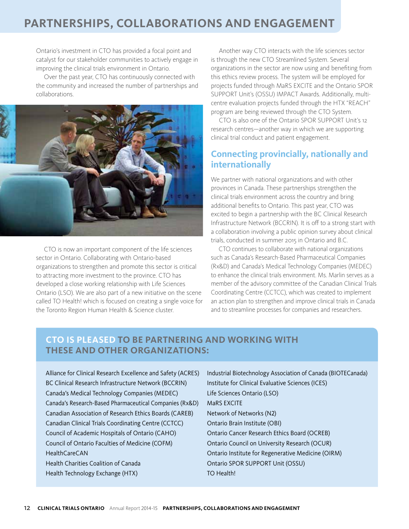## **PARTNERSHIPS, COLLABORATIONS AND ENGAGEMENT**

Ontario's investment in CTO has provided a focal point and catalyst for our stakeholder communities to actively engage in improving the clinical trials environment in Ontario.

 Over the past year, CTO has continuously connected with the community and increased the number of partnerships and collaborations.



 CTO is now an important component of the life sciences sector in Ontario. Collaborating with Ontario-based organizations to strengthen and promote this sector is critical to attracting more investment to the province. CTO has developed a close working relationship with Life Sciences Ontario (LSO). We are also part of a new initiative on the scene called TO Health! which is focused on creating a single voice for the Toronto Region Human Health & Science cluster.

 Another way CTO interacts with the life sciences sector is through the new CTO Streamlined System. Several organizations in the sector are now using and benefiting from this ethics review process. The system will be employed for projects funded through MaRS EXCITE and the Ontario SPOR SUPPORT Unit's (OSSU) IMPACT Awards. Additionally, multicentre evaluation projects funded through the HTX "REACH" program are being reviewed through the CTO System.

 CTO is also one of the Ontario SPOR SUPPORT Unit's 12 research centres—another way in which we are supporting clinical trial conduct and patient engagement.

#### **Connecting provincially, nationally and internationally**

We partner with national organizations and with other provinces in Canada. These partnerships strengthen the clinical trials environment across the country and bring additional benefits to Ontario. This past year, CTO was excited to begin a partnership with the BC Clinical Research Infrastructure Network (BCCRIN). It is off to a strong start with a collaboration involving a public opinion survey about clinical trials, conducted in summer 2015 in Ontario and B.C.

 CTO continues to collaborate with national organizations such as Canada's Research-Based Pharmaceutical Companies (Rx&D) and Canada's Medical Technology Companies (MEDEC) to enhance the clinical trials environment. Ms. Marlin serves as a member of the advisory committee of the Canadian Clinical Trials Coordinating Centre (CCTCC), which was created to implement an action plan to strengthen and improve clinical trials in Canada and to streamline processes for companies and researchers.

#### **CTO IS PLEASED TO BE PARTNERING AND WORKING WITH THESE AND OTHER ORGANIZATIONS:**

- Alliance for Clinical Research Excellence and Safety (ACRES) BC Clinical Research Infrastructure Network (BCCRIN) Canada's Medical Technology Companies (MEDEC) Canada's Research-Based Pharmaceutical Companies (Rx&D) Canadian Association of Research Ethics Boards (CAREB) Canadian Clinical Trials Coordinating Centre (CCTCC) Council of Academic Hospitals of Ontario (CAHO) Council of Ontario Faculties of Medicine (COFM) HealthCareCAN Health Charities Coalition of Canada Health Technology Exchange (HTX)
- Industrial Biotechnology Association of Canada (BIOTECanada) Institute for Clinical Evaluative Sciences (ICES) Life Sciences Ontario (LSO) MaRS EXCITE Network of Networks (N2) Ontario Brain Institute (OBI) Ontario Cancer Research Ethics Board (OCREB) Ontario Council on University Research (OCUR) Ontario Institute for Regenerative Medicine (OIRM) Ontario SPOR SUPPORT Unit (OSSU) TO Health!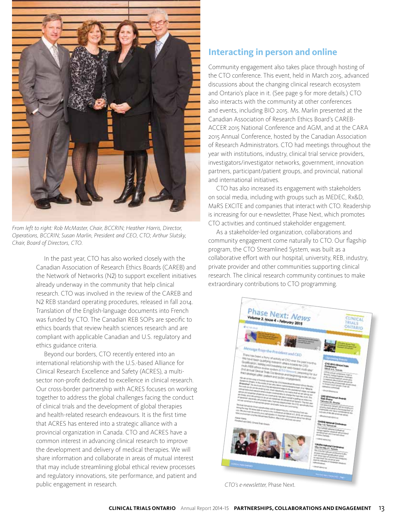

*From left to right: Rob McMaster, Chair, BCCRIN; Heather Harris, Director, Operations, BCCRIN; Susan Marlin, President and CEO, CTO; Arthur Slutsky, Chair, Board of Directors, CTO.*

 In the past year, CTO has also worked closely with the Canadian Association of Research Ethics Boards (CAREB) and the Network of Networks (N2) to support excellent initiatives already underway in the community that help clinical research. CTO was involved in the review of the CAREB and N2 REB standard operating procedures, released in fall 2014. Translation of the English-language documents into French was funded by CTO. The Canadian REB SOPs are specific to ethics boards that review health sciences research and are compliant with applicable Canadian and U.S. regulatory and ethics guidance criteria.

 Beyond our borders, CTO recently entered into an international relationship with the U.S.-based Alliance for Clinical Research Excellence and Safety (ACRES), a multisector non-profit dedicated to excellence in clinical research. Our cross-border partnership with ACRES focuses on working together to address the global challenges facing the conduct of clinical trials and the development of global therapies and health-related research endeavours. It is the first time that ACRES has entered into a strategic alliance with a provincial organization in Canada. CTO and ACRES have a common interest in advancing clinical research to improve the development and delivery of medical therapies. We will share information and collaborate in areas of mutual interest that may include streamlining global ethical review processes and regulatory innovations, site performance, and patient and public engagement in research.

#### **Interacting in person and online**

Community engagement also takes place through hosting of the CTO conference. This event, held in March 2015, advanced discussions about the changing clinical research ecosystem and Ontario's place in it. (See page 9 for more details.) CTO also interacts with the community at other conferences and events, including BIO 2015. Ms. Marlin presented at the Canadian Association of Research Ethics Board's CAREB-ACCER 2015 National Conference and AGM, and at the CARA 2015 Annual Conference, hosted by the Canadian Association of Research Administrators. CTO had meetings throughout the year with institutions, industry, clinical trial service providers, investigators/investigator networks, government, innovation partners, participant/patient groups, and provincial, national and international initiatives.

 CTO has also increased its engagement with stakeholders on social media, including with groups such as MEDEC, Rx&D, MaRS EXCITE and companies that interact with CTO. Readership is increasing for our e-newsletter, Phase Next, which promotes CTO activities and continued stakeholder engagement.

 As a stakeholder-led organization, collaborations and community engagement come naturally to CTO. Our flagship program, the CTO Streamlined System, was built as a collaborative effort with our hospital, university, REB, industry, private provider and other communities supporting clinical research. The clinical research community continues to make extraordinary contributions to CTO programming.



**CLINICAL TRIALS ONTARIO** Annual Report 2014-15 **PARTNERSHIPS, COLLABORATIONS AND ENGAGEMENT** 13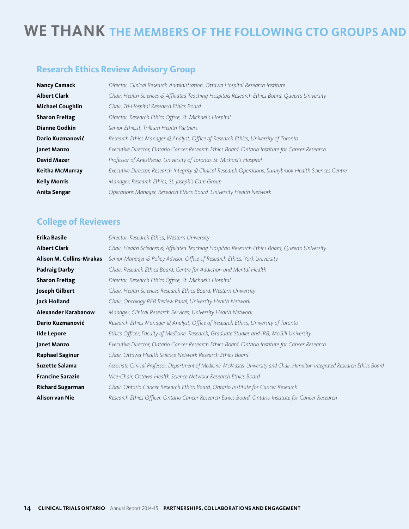# WE THANK THE MEMBERS OF THE FOLLOWING CTO GROUPS AND

### **Research Ethics Review Advisory Group**

| <b>Nancy Camack</b>     | Director, Clinical Research Administration, Ottawa Hospital Research Institute                           |
|-------------------------|----------------------------------------------------------------------------------------------------------|
| <b>Albert Clark</b>     | Chair, Health Sciences & Affiliated Teaching Hospitals Research Ethics Board, Queen's University         |
| <b>Michael Coughlin</b> | Chair, Tri-Hospital Research Ethics Board                                                                |
| <b>Sharon Freitag</b>   | Director, Research Ethics Office, St. Michael's Hospital                                                 |
| <b>Dianne Godkin</b>    | Senior Ethicist, Trillium Health Partners                                                                |
| Dario Kuzmanović        | Research Ethics Manager & Analyst, Office of Research Ethics, University of Toronto                      |
| Janet Manzo             | Executive Director, Ontario Cancer Research Ethics Board, Ontario Institute for Cancer Research          |
| <b>David Mazer</b>      | Professor of Anesthesia, University of Toronto, St. Michael's Hospital                                   |
| Keitha McMurray         | Executive Director, Research Integrity & Clinical Research Operations, Sunnybrook Health Sciences Centre |
| <b>Kelly Morris</b>     | Manager, Research Ethics, St. Joseph's Care Group                                                        |
| Anita Sengar            | Operations Manager, Research Ethics Board, University Health Network                                     |
|                         |                                                                                                          |

### **College of Reviewers**

| Erika Basile             | Director, Research Ethics, Western University                                                                                  |
|--------------------------|--------------------------------------------------------------------------------------------------------------------------------|
| <b>Albert Clark</b>      | Chair, Health Sciences & Affiliated Teaching Hospitals Research Ethics Board, Queen's University                               |
| Alison M. Collins-Mrakas | Senior Manager & Policy Advisor, Office of Research Ethics, York University                                                    |
| <b>Padraig Darby</b>     | Chair, Research Ethics Board, Centre for Addiction and Mental Health                                                           |
| <b>Sharon Freitag</b>    | Director, Research Ethics Office, St. Michael's Hospital                                                                       |
| Joseph Gilbert           | Chair, Health Sciences Research Ethics Board, Western University                                                               |
| Jack Holland             | Chair, Oncology REB Review Panel, University Health Network                                                                    |
| Alexander Karabanow      | Manager, Clinical Research Services, University Health Network                                                                 |
| Dario Kuzmanović         | Research Ethics Manager & Analyst, Office of Research Ethics, University of Toronto                                            |
| Ilde Lepore              | Ethics Officer, Faculty of Medicine, Research, Graduate Studies and IRB, McGill University                                     |
| Janet Manzo              | Executive Director, Ontario Cancer Research Ethics Board, Ontario Institute for Cancer Research                                |
| <b>Raphael Saginur</b>   | Chair, Ottawa Health Science Network Research Ethics Board                                                                     |
| <b>Suzette Salama</b>    | Associate Clinical Professor, Department of Medicine, McMaster University and Chair, Hamilton Integrated Research Ethics Boara |
| <b>Francine Sarazin</b>  | Vice-Chair, Ottawa Health Science Network Research Ethics Board                                                                |
| <b>Richard Sugarman</b>  | Chair, Ontario Cancer Research Ethics Board, Ontario Institute for Cancer Research                                             |
| Alison van Nie           | Research Ethics Officer, Ontario Cancer Research Ethics Board, Ontario Institute for Cancer Research                           |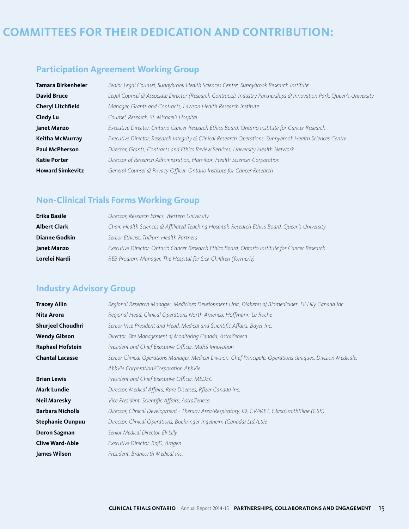# **COMMITTEES FOR THEIR DEDICATION AND CONTRIBUTION:**

### **Participation Agreement Working Group**

| Tamara Birkenheier       | Senior Legal Counsel, Sunnybrook Health Sciences Centre, Sunnybrook Research Institute                               |
|--------------------------|----------------------------------------------------------------------------------------------------------------------|
| <b>David Bruce</b>       | Legal Counsel & Associate Director (Research Contracts), Industry Partnerships & Innovation Park, Queen's University |
| <b>Cheryl Litchfield</b> | Manager, Grants and Contracts, Lawson Health Research Institute                                                      |
| <b>Cindy Lu</b>          | Counsel, Research, St. Michael's Hospital                                                                            |
| Janet Manzo              | Executive Director, Ontario Cancer Research Ethics Board, Ontario Institute for Cancer Research                      |
| Keitha McMurray          | Executive Director, Research Integrity & Clinical Research Operations, Sunnybrook Health Sciences Centre             |
| <b>Paul McPherson</b>    | Director, Grants, Contracts and Ethics Review Services, University Health Network                                    |
| <b>Katie Porter</b>      | Director of Research Administration, Hamilton Health Sciences Corporation                                            |
| <b>Howard Simkevitz</b>  | General Counsel & Privacy Officer, Ontario Institute for Cancer Research                                             |

### **Non-Clinical Trials Forms Working Group**

| Erika Basile         | Director, Research Ethics, Western University                                                    |
|----------------------|--------------------------------------------------------------------------------------------------|
| <b>Albert Clark</b>  | Chair, Health Sciences & Affiliated Teaching Hospitals Research Ethics Board, Queen's University |
| <b>Dianne Godkin</b> | Senior Ethicist, Trillium Health Partners                                                        |
| Janet Manzo          | Executive Director, Ontario Cancer Research Ethics Board, Ontario Institute for Cancer Research  |
| Lorelei Nardi        | REB Program Manager, The Hospital for Sick Children (formerly)                                   |

### **Industry Advisory Group**

| <b>Tracey Allin</b>     | Regional Research Manager, Medicines Development Unit, Diabetes & Biomedicines, Eli Lilly Canada Inc.           |  |  |
|-------------------------|-----------------------------------------------------------------------------------------------------------------|--|--|
| Nita Arora              | Regional Head, Clinical Operations North America, Hoffmann-La Roche                                             |  |  |
| Shurjeel Choudhri       | Senior Vice President and Head, Medical and Scientific Affairs, Bayer Inc.                                      |  |  |
| <b>Wendy Gibson</b>     | Director, Site Management & Monitoring Canada, AstraZeneca                                                      |  |  |
| <b>Raphael Hofstein</b> | President and Chief Executive Officer, MaRS Innovation                                                          |  |  |
| <b>Chantal Lacasse</b>  | Senior Clinical Operations Manager, Medical Division, Chef Principale, Operations cliniques, Division Medicale, |  |  |
|                         | AbbVie Corporation/Corporation AbbVie                                                                           |  |  |
| <b>Brian Lewis</b>      | President and Chief Executive Officer, MEDEC                                                                    |  |  |
| <b>Mark Lundie</b>      | Director, Medical Affairs, Rare Diseases, Pfizer Canada Inc.                                                    |  |  |
| <b>Neil Maresky</b>     | Vice President, Scientific Affairs, AstraZeneca                                                                 |  |  |
| <b>Barbara Nicholls</b> | Director, Clinical Development - Therapy Area/Respiratory, ID, CV/MET, GlaxoSmithKline (GSK)                    |  |  |
| <b>Stephanie Ounpuu</b> | Director, Clinical Operations, Boehringer Ingelheim (Canada) Ltd./Ltée                                          |  |  |
| Doron Sagman            | Senior Medical Director, Eli Lilly                                                                              |  |  |
| <b>Clive Ward-Able</b>  | Executive Director, R&D, Amgen                                                                                  |  |  |
| James Wilson            | President, Brancorth Medical Inc.                                                                               |  |  |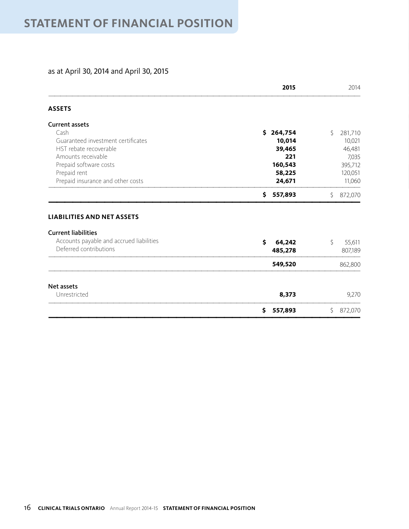#### as at April 30, 2014 and April 30, 2015

|                                                                                                                                       | 2015                          |    | 2014              |
|---------------------------------------------------------------------------------------------------------------------------------------|-------------------------------|----|-------------------|
| <b>ASSETS</b>                                                                                                                         |                               |    |                   |
| <b>Current assets</b>                                                                                                                 |                               |    |                   |
| Cash                                                                                                                                  | \$264,754                     | \$ | 281,710           |
| Guaranteed investment certificates                                                                                                    | 10,014                        |    | 10,021            |
| HST rebate recoverable                                                                                                                | 39,465                        |    | 46,481            |
| Amounts receivable                                                                                                                    | 221                           |    | 7,035             |
| Prepaid software costs                                                                                                                | 160,543                       |    | 395,712           |
| Prepaid rent                                                                                                                          | 58,225                        |    | 120,051           |
| Prepaid insurance and other costs                                                                                                     | 24,671                        |    | 11,060            |
|                                                                                                                                       | \$<br>557,893                 | \$ | 872,070           |
| <b>LIABILITIES AND NET ASSETS</b><br><b>Current liabilities</b><br>Accounts payable and accrued liabilities<br>Deferred contributions | \$<br>\$<br>64,242<br>485,278 |    | 55,611<br>807,189 |
|                                                                                                                                       | 549,520                       |    | 862,800           |
| Net assets                                                                                                                            |                               |    |                   |
| Unrestricted                                                                                                                          | 8,373                         |    | 9,270             |
|                                                                                                                                       | \$<br>557,893                 | \$ | 872,070           |
|                                                                                                                                       |                               |    |                   |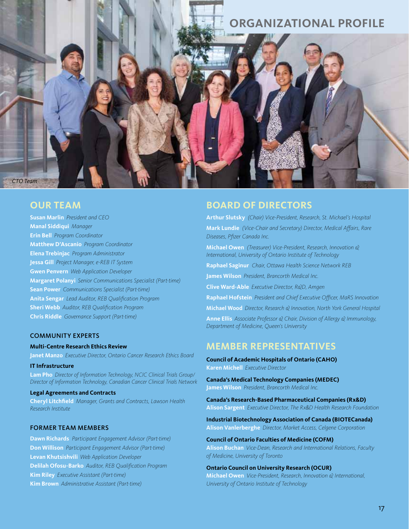### **ORGANIZATIONAL PROFILE**

#### **OUR TEAM**

*CTO Team* 

**Susan Marlin** *President and CEO* **Manal Siddiqui** *Manager* **Erin Bell** *Program Coordinator* **Matthew D'Ascanio** *Program Coordinator* **Elena Trebinjac** *Program Administrator* **Jessa Gill** *Project Manager, e-REB IT System* **Gwen Penvern** *Web Application Developer* **Margaret Polanyi** *Senior Communications Specialist (Part-time)* **Sean Power** *Communications Specialist (Part-time)* **Anita Sengar** *Lead Auditor, REB Qualification Program* **Sheri Webb** *Auditor, REB Qualification Program* **Chris Riddle** *Governance Support (Part-time)* 

#### COMMUNITY EXPERTS

#### **Multi-Centre Research Ethics Review**

**Janet Manzo** *Executive Director, Ontario Cancer Research Ethics Board*

#### **IT Infrastructure**

**Lam Pho** *Director of Information Technology, NCIC Clinical Trials Group/ Director of Information Technology, Canadian Cancer Clinical Trials Network*

#### **Legal Agreements and Contracts**

**Cheryl Litchfield** *Manager, Grants and Contracts, Lawson Health Research Institute*

#### FORMER TEAM MEMBERS

**Dawn Richards** *Participant Engagement Advisor (Part-time)* **Don Willison** *Participant Engagement Advisor (Part-time)*  **Levan Khutsishvili** *Web Application Developer* **Delilah Ofosu-Barko** *Auditor, REB Qualification Program*  **Kim Riley** *Executive Assistant (Part-time)* **Kim Brown** *Administrative Assistant (Part-time)*

#### **BOARD OF DIRECTORS**

**Arthur Slutsky** *(Chair) Vice-President, Research, St. Michael's Hospital* **Mark Lundie** *(Vice-Chair and Secretary) Director, Medical Affairs, Rare Diseases, Pfizer Canada Inc.*

**Michael Owen** *(Treasurer) Vice-President, Research, Innovation & International, University of Ontario Institute of Technology* 

**Raphael Saginur** *Chair, Ottawa Health Science Network REB* 

**James Wilson** *President, Brancorth Medical Inc.* 

**Clive Ward-Able** *Executive Director, R&D, Amgen*

**Raphael Hofstein** *President and Chief Executive Officer, MaRS Innovation*

**Michael Wood** *Director, Research & Innovation, North York General Hospital*

**Anne Ellis** *Associate Professor & Chair, Division of Allergy & Immunology, Department of Medicine, Queen's University* 

#### **MEMBER REPRESENTATIVES**

**Council of Academic Hospitals of Ontario (CAHO) Karen Michell** *Executive Director*

**Canada's Medical Technology Companies (MEDEC) James Wilson** *President, Brancorth Medical Inc.* 

**Canada's Research-Based Pharmaceutical Companies (Rx&D) Alison Sargent** *Executive Director, The Rx&D Health Research Foundation* 

**Industrial Biotechnology Association of Canada (BIOTECanada) Alison Vanlerberghe** *Director, Market Access, Celgene Corporation*

**Council of Ontario Faculties of Medicine (COFM) Alison Buchan** *Vice-Dean, Research and International Relations, Faculty of Medicine, University of Toronto*

#### **Ontario Council on University Research (OCUR)**

**Michael Owen** *Vice-President, Research, Innovation & International, University of Ontario Institute of Technology*